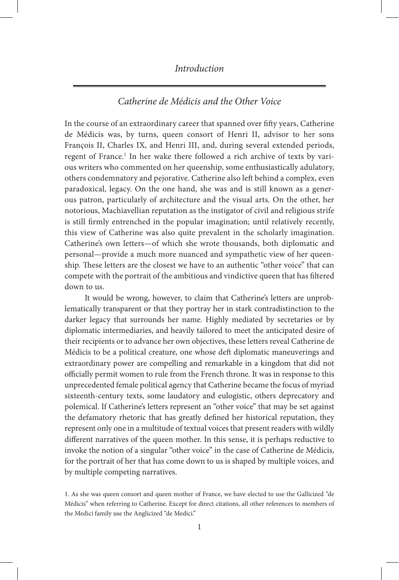## *Introduction*

### *Catherine de Médicis and the Other Voice*

In the course of an extraordinary career that spanned over fifty years, Catherine de Médicis was, by turns, queen consort of Henri II, advisor to her sons François II, Charles IX, and Henri III, and, during several extended periods, regent of France.<sup>1</sup> In her wake there followed a rich archive of texts by various writers who commented on her queenship, some enthusiastically adulatory, others condemnatory and pejorative. Catherine also left behind a complex, even paradoxical, legacy. On the one hand, she was and is still known as a generous patron, particularly of architecture and the visual arts. On the other, her notorious, Machiavellian reputation as the instigator of civil and religious strife is still firmly entrenched in the popular imagination; until relatively recently, this view of Catherine was also quite prevalent in the scholarly imagination. Catherine's own letters—of which she wrote thousands, both diplomatic and personal—provide a much more nuanced and sympathetic view of her queenship. These letters are the closest we have to an authentic "other voice" that can compete with the portrait of the ambitious and vindictive queen that has filtered down to us.

It would be wrong, however, to claim that Catherine's letters are unproblematically transparent or that they portray her in stark contradistinction to the darker legacy that surrounds her name. Highly mediated by secretaries or by diplomatic intermediaries, and heavily tailored to meet the anticipated desire of their recipients or to advance her own objectives, these letters reveal Catherine de Médicis to be a political creature, one whose deft diplomatic maneuverings and extraordinary power are compelling and remarkable in a kingdom that did not officially permit women to rule from the French throne. It was in response to this unprecedented female political agency that Catherine became the focus of myriad sixteenth-century texts, some laudatory and eulogistic, others deprecatory and polemical. If Catherine's letters represent an "other voice" that may be set against the defamatory rhetoric that has greatly defined her historical reputation, they represent only one in a multitude of textual voices that present readers with wildly different narratives of the queen mother. In this sense, it is perhaps reductive to invoke the notion of a singular "other voice" in the case of Catherine de Médicis, for the portrait of her that has come down to us is shaped by multiple voices, and by multiple competing narratives.

<sup>1.</sup> As she was queen consort and queen mother of France, we have elected to use the Gallicized "de Médicis" when referring to Catherine. Except for direct citations, all other references to members of the Medici family use the Anglicized "de Medici."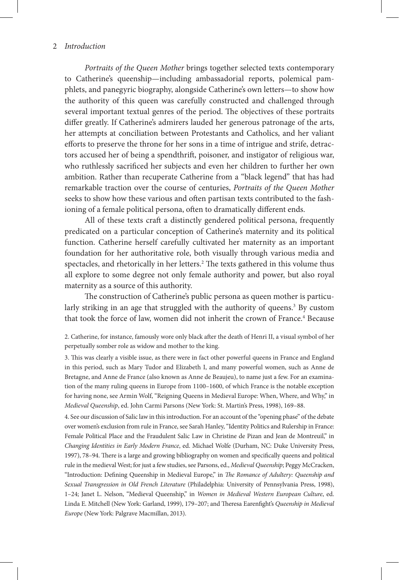*Portraits of the Queen Mother* brings together selected texts contemporary to Catherine's queenship—including ambassadorial reports, polemical pamphlets, and panegyric biography, alongside Catherine's own letters—to show how the authority of this queen was carefully constructed and challenged through several important textual genres of the period. The objectives of these portraits differ greatly. If Catherine's admirers lauded her generous patronage of the arts, her attempts at conciliation between Protestants and Catholics, and her valiant efforts to preserve the throne for her sons in a time of intrigue and strife, detractors accused her of being a spendthrift, poisoner, and instigator of religious war, who ruthlessly sacrificed her subjects and even her children to further her own ambition. Rather than recuperate Catherine from a "black legend" that has had remarkable traction over the course of centuries, *Portraits of the Queen Mother* seeks to show how these various and often partisan texts contributed to the fashioning of a female political persona, often to dramatically different ends.

All of these texts craft a distinctly gendered political persona, frequently predicated on a particular conception of Catherine's maternity and its political function. Catherine herself carefully cultivated her maternity as an important foundation for her authoritative role, both visually through various media and spectacles, and rhetorically in her letters.<sup>2</sup> The texts gathered in this volume thus all explore to some degree not only female authority and power, but also royal maternity as a source of this authority.

The construction of Catherine's public persona as queen mother is particularly striking in an age that struggled with the authority of queens.<sup>3</sup> By custom that took the force of law, women did not inherit the crown of France.<sup>4</sup> Because

2. Catherine, for instance, famously wore only black after the death of Henri II, a visual symbol of her perpetually somber role as widow and mother to the king.

3. This was clearly a visible issue, as there were in fact other powerful queens in France and England in this period, such as Mary Tudor and Elizabeth I, and many powerful women, such as Anne de Bretagne, and Anne de France (also known as Anne de Beaujeu), to name just a few. For an examination of the many ruling queens in Europe from 1100–1600, of which France is the notable exception for having none, see Armin Wolf, "Reigning Queens in Medieval Europe: When, Where, and Why," in *Medieval Queenship*, ed. John Carmi Parsons (New York: St. Martin's Press, 1998), 169–88.

4. See our discussion of Salic law in this introduction. For an account of the "opening phase" of the debate over women's exclusion from rule in France, see Sarah Hanley, "Identity Politics and Rulership in France: Female Political Place and the Fraudulent Salic Law in Christine de Pizan and Jean de Montreuil," in *Changing Identities in Early Modern France*, ed. Michael Wolfe (Durham, NC: Duke University Press, 1997), 78–94. There is a large and growing bibliography on women and specifically queens and political rule in the medieval West; for just a few studies, see Parsons, ed., *Medieval Queenship*; Peggy McCracken, "Introduction: Defining Queenship in Medieval Europe," in *The Romance of Adultery: Queenship and Sexual Transgression in Old French Literature* (Philadelphia: University of Pennsylvania Press, 1998), 1–24; Janet L. Nelson, "Medieval Queenship," in *Women in Medieval Western European Culture*, ed. Linda E. Mitchell (New York: Garland, 1999), 179–207; and Theresa Earenfight's *Queenship in Medieval Europe* (New York: Palgrave Macmillan, 2013).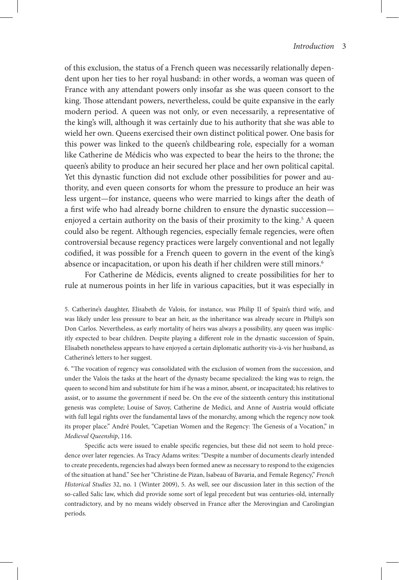of this exclusion, the status of a French queen was necessarily relationally dependent upon her ties to her royal husband: in other words, a woman was queen of France with any attendant powers only insofar as she was queen consort to the king. Those attendant powers, nevertheless, could be quite expansive in the early modern period. A queen was not only, or even necessarily, a representative of the king's will, although it was certainly due to his authority that she was able to wield her own. Queens exercised their own distinct political power. One basis for this power was linked to the queen's childbearing role, especially for a woman like Catherine de Médicis who was expected to bear the heirs to the throne; the queen's ability to produce an heir secured her place and her own political capital. Yet this dynastic function did not exclude other possibilities for power and authority, and even queen consorts for whom the pressure to produce an heir was less urgent—for instance, queens who were married to kings after the death of a first wife who had already borne children to ensure the dynastic succession enjoyed a certain authority on the basis of their proximity to the king.<sup>5</sup> A queen could also be regent. Although regencies, especially female regencies, were often controversial because regency practices were largely conventional and not legally codified, it was possible for a French queen to govern in the event of the king's absence or incapacitation, or upon his death if her children were still minors.<sup>6</sup>

For Catherine de Médicis, events aligned to create possibilities for her to rule at numerous points in her life in various capacities, but it was especially in

5. Catherine's daughter, Elisabeth de Valois, for instance, was Philip II of Spain's third wife, and was likely under less pressure to bear an heir, as the inheritance was already secure in Philip's son Don Carlos. Nevertheless, as early mortality of heirs was always a possibility, any queen was implicitly expected to bear children. Despite playing a different role in the dynastic succession of Spain, Elisabeth nonetheless appears to have enjoyed a certain diplomatic authority vis-à-vis her husband, as Catherine's letters to her suggest.

6. "The vocation of regency was consolidated with the exclusion of women from the succession, and under the Valois the tasks at the heart of the dynasty became specialized: the king was to reign, the queen to second him and substitute for him if he was a minor, absent, or incapacitated; his relatives to assist, or to assume the government if need be. On the eve of the sixteenth century this institutional genesis was complete; Louise of Savoy, Catherine de Medici, and Anne of Austria would officiate with full legal rights over the fundamental laws of the monarchy, among which the regency now took its proper place." André Poulet, "Capetian Women and the Regency: The Genesis of a Vocation," in *Medieval Queenship*, 116.

Specific acts were issued to enable specific regencies, but these did not seem to hold precedence over later regencies. As Tracy Adams writes: "Despite a number of documents clearly intended to create precedents, regencies had always been formed anew as necessary to respond to the exigencies of the situation at hand." See her "Christine de Pizan, Isabeau of Bavaria, and Female Regency," *French Historical Studies* 32, no. 1 (Winter 2009), 5. As well, see our discussion later in this section of the so-called Salic law, which did provide some sort of legal precedent but was centuries-old, internally contradictory, and by no means widely observed in France after the Merovingian and Carolingian periods.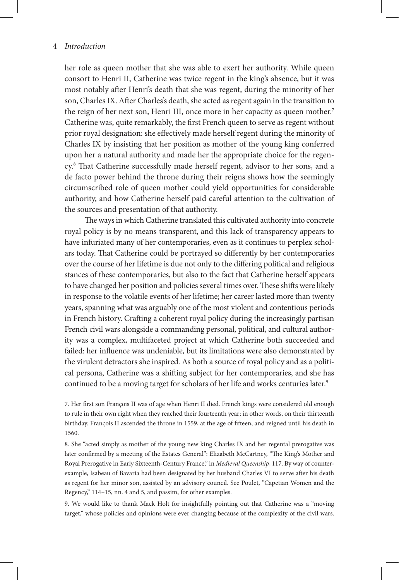her role as queen mother that she was able to exert her authority. While queen consort to Henri II, Catherine was twice regent in the king's absence, but it was most notably after Henri's death that she was regent, during the minority of her son, Charles IX. After Charles's death, she acted as regent again in the transition to the reign of her next son, Henri III, once more in her capacity as queen mother.<sup>7</sup> Catherine was, quite remarkably, the first French queen to serve as regent without prior royal designation: she effectively made herself regent during the minority of Charles IX by insisting that her position as mother of the young king conferred upon her a natural authority and made her the appropriate choice for the regency.8 That Catherine successfully made herself regent, advisor to her sons, and a de facto power behind the throne during their reigns shows how the seemingly circumscribed role of queen mother could yield opportunities for considerable authority, and how Catherine herself paid careful attention to the cultivation of the sources and presentation of that authority.

The ways in which Catherine translated this cultivated authority into concrete royal policy is by no means transparent, and this lack of transparency appears to have infuriated many of her contemporaries, even as it continues to perplex scholars today. That Catherine could be portrayed so differently by her contemporaries over the course of her lifetime is due not only to the differing political and religious stances of these contemporaries, but also to the fact that Catherine herself appears to have changed her position and policies several times over. These shifts were likely in response to the volatile events of her lifetime; her career lasted more than twenty years, spanning what was arguably one of the most violent and contentious periods in French history. Crafting a coherent royal policy during the increasingly partisan French civil wars alongside a commanding personal, political, and cultural authority was a complex, multifaceted project at which Catherine both succeeded and failed: her influence was undeniable, but its limitations were also demonstrated by the virulent detractors she inspired. As both a source of royal policy and as a political persona, Catherine was a shifting subject for her contemporaries, and she has continued to be a moving target for scholars of her life and works centuries later.<sup>9</sup>

7. Her first son François II was of age when Henri II died. French kings were considered old enough to rule in their own right when they reached their fourteenth year; in other words, on their thirteenth birthday. François II ascended the throne in 1559, at the age of fifteen, and reigned until his death in 1560.

8. She "acted simply as mother of the young new king Charles IX and her regental prerogative was later confirmed by a meeting of the Estates General": Elizabeth McCartney, "The King's Mother and Royal Prerogative in Early Sixteenth-Century France," in *Medieval Queenship*, 117. By way of counterexample, Isabeau of Bavaria had been designated by her husband Charles VI to serve after his death as regent for her minor son, assisted by an advisory council. See Poulet, "Capetian Women and the Regency," 114–15, nn. 4 and 5, and passim, for other examples.

9. We would like to thank Mack Holt for insightfully pointing out that Catherine was a "moving target," whose policies and opinions were ever changing because of the complexity of the civil wars.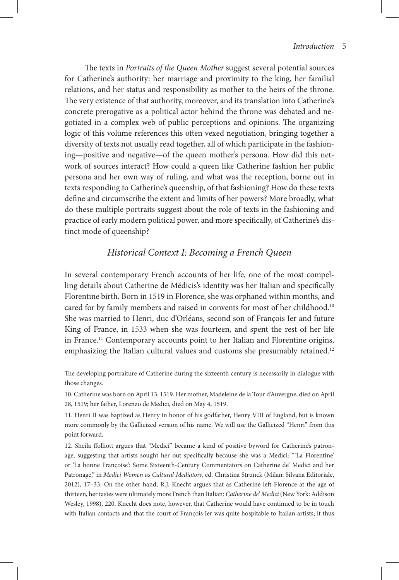The texts in *Portraits of the Queen Mother* suggest several potential sources for Catherine's authority: her marriage and proximity to the king, her familial relations, and her status and responsibility as mother to the heirs of the throne. The very existence of that authority, moreover, and its translation into Catherine's concrete prerogative as a political actor behind the throne was debated and negotiated in a complex web of public perceptions and opinions. The organizing logic of this volume references this often vexed negotiation, bringing together a diversity of texts not usually read together, all of which participate in the fashioning—positive and negative—of the queen mother's persona. How did this network of sources interact? How could a queen like Catherine fashion her public persona and her own way of ruling, and what was the reception, borne out in texts responding to Catherine's queenship, of that fashioning? How do these texts define and circumscribe the extent and limits of her powers? More broadly, what do these multiple portraits suggest about the role of texts in the fashioning and practice of early modern political power, and more specifically, of Catherine's distinct mode of queenship?

# *Historical Context I: Becoming a French Queen*

In several contemporary French accounts of her life, one of the most compelling details about Catherine de Médicis's identity was her Italian and specifically Florentine birth. Born in 1519 in Florence, she was orphaned within months, and cared for by family members and raised in convents for most of her childhood.<sup>10</sup> She was married to Henri, duc d'Orléans, second son of François Ier and future King of France, in 1533 when she was fourteen, and spent the rest of her life in France.<sup>11</sup> Contemporary accounts point to her Italian and Florentine origins, emphasizing the Italian cultural values and customs she presumably retained.<sup>12</sup>

The developing portraiture of Catherine during the sixteenth century is necessarily in dialogue with those changes.

<sup>10.</sup> Catherine was born on April 13, 1519. Her mother, Madeleine de la Tour d'Auvergne, died on April 28, 1519; her father, Lorenzo de Medici, died on May 4, 1519.

<sup>11.</sup> Henri II was baptized as Henry in honor of his godfather, Henry VIII of England, but is known more commonly by the Gallicized version of his name. We will use the Gallicized "Henri" from this point forward.

<sup>12.</sup> Sheila ffolliott argues that "Medici" became a kind of positive byword for Catherine's patronage, suggesting that artists sought her out specifically because she was a Medici: "'La Florentine' or 'La bonne Françoise': Some Sixteenth-Century Commentators on Catherine de' Medici and her Patronage," in *Medici Women as Cultural Mediators*, ed. Christina Strunck (Milan: Silvana Editoriale, 2012), 17–33. On the other hand, R.J. Knecht argues that as Catherine left Florence at the age of thirteen, her tastes were ultimately more French than Italian: *Catherine de' Medici* (New York: Addison Wesley, 1998), 220. Knecht does note, however, that Catherine would have continued to be in touch with Italian contacts and that the court of François Ier was quite hospitable to Italian artists; it thus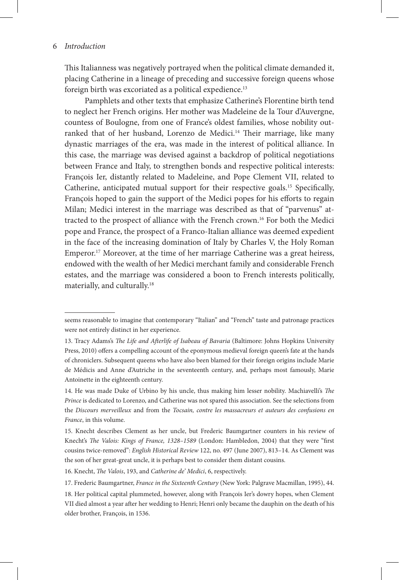This Italianness was negatively portrayed when the political climate demanded it, placing Catherine in a lineage of preceding and successive foreign queens whose foreign birth was excoriated as a political expedience.<sup>13</sup>

Pamphlets and other texts that emphasize Catherine's Florentine birth tend to neglect her French origins. Her mother was Madeleine de la Tour d'Auvergne, countess of Boulogne, from one of France's oldest families, whose nobility outranked that of her husband, Lorenzo de Medici.<sup>14</sup> Their marriage, like many dynastic marriages of the era, was made in the interest of political alliance. In this case, the marriage was devised against a backdrop of political negotiations between France and Italy, to strengthen bonds and respective political interests: François Ier, distantly related to Madeleine, and Pope Clement VII, related to Catherine, anticipated mutual support for their respective goals.15 Specifically, François hoped to gain the support of the Medici popes for his efforts to regain Milan; Medici interest in the marriage was described as that of "parvenus" attracted to the prospect of alliance with the French crown.16 For both the Medici pope and France, the prospect of a Franco-Italian alliance was deemed expedient in the face of the increasing domination of Italy by Charles V, the Holy Roman Emperor.17 Moreover, at the time of her marriage Catherine was a great heiress, endowed with the wealth of her Medici merchant family and considerable French estates, and the marriage was considered a boon to French interests politically, materially, and culturally.18

16. Knecht, *The Valois*, 193, and *Catherine de' Medici*, 6, respectively.

17. Frederic Baumgartner, *France in the Sixteenth Century* (New York: Palgrave Macmillan, 1995), 44.

18. Her political capital plummeted, however, along with François Ier's dowry hopes, when Clement VII died almost a year after her wedding to Henri; Henri only became the dauphin on the death of his older brother, François, in 1536.

seems reasonable to imagine that contemporary "Italian" and "French" taste and patronage practices were not entirely distinct in her experience.

<sup>13.</sup> Tracy Adams's *The Life and Afterlife of Isabeau of Bavaria* (Baltimore: Johns Hopkins University Press, 2010) offers a compelling account of the eponymous medieval foreign queen's fate at the hands of chroniclers. Subsequent queens who have also been blamed for their foreign origins include Marie de Médicis and Anne d'Autriche in the seventeenth century, and, perhaps most famously, Marie Antoinette in the eighteenth century.

<sup>14.</sup> He was made Duke of Urbino by his uncle, thus making him lesser nobility. Machiavelli's *The Prince* is dedicated to Lorenzo, and Catherine was not spared this association. See the selections from the *Discours merveilleux* and from the *Tocsain, contre les massacreurs et auteurs des confusions en France*, in this volume.

<sup>15.</sup> Knecht describes Clement as her uncle, but Frederic Baumgartner counters in his review of Knecht's *The Valois: Kings of France, 1328–1589* (London: Hambledon, 2004) that they were "first cousins twice-removed": *English Historical Review* 122, no. 497 (June 2007), 813–14. As Clement was the son of her great-great uncle, it is perhaps best to consider them distant cousins.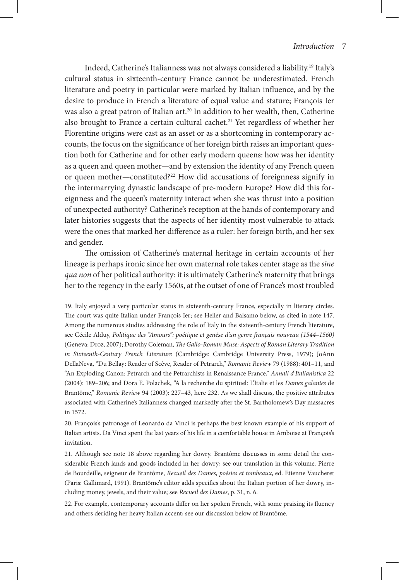Indeed, Catherine's Italianness was not always considered a liability.19 Italy's cultural status in sixteenth-century France cannot be underestimated. French literature and poetry in particular were marked by Italian influence, and by the desire to produce in French a literature of equal value and stature; François Ier was also a great patron of Italian art.<sup>20</sup> In addition to her wealth, then, Catherine also brought to France a certain cultural cachet.<sup>21</sup> Yet regardless of whether her Florentine origins were cast as an asset or as a shortcoming in contemporary accounts, the focus on the significance of her foreign birth raises an important question both for Catherine and for other early modern queens: how was her identity as a queen and queen mother—and by extension the identity of any French queen or queen mother—constituted?22 How did accusations of foreignness signify in the intermarrying dynastic landscape of pre-modern Europe? How did this foreignness and the queen's maternity interact when she was thrust into a position of unexpected authority? Catherine's reception at the hands of contemporary and later histories suggests that the aspects of her identity most vulnerable to attack were the ones that marked her difference as a ruler: her foreign birth, and her sex and gender.

The omission of Catherine's maternal heritage in certain accounts of her lineage is perhaps ironic since her own maternal role takes center stage as the *sine qua non* of her political authority: it is ultimately Catherine's maternity that brings her to the regency in the early 1560s, at the outset of one of France's most troubled

19. Italy enjoyed a very particular status in sixteenth-century France, especially in literary circles. The court was quite Italian under François Ier; see Heller and Balsamo below, as cited in note 147. Among the numerous studies addressing the role of Italy in the sixteenth-century French literature, see Cécile Alduy, *Politique des "Amours": poétique et genèse d'un genre français nouveau (1544–1560)*  (Geneva: Droz, 2007); Dorothy Coleman, *The Gallo-Roman Muse: Aspects of Roman Literary Tradition in Sixteenth-Century French Literature* (Cambridge: Cambridge University Press, 1979); JoAnn DellaNeva, "Du Bellay: Reader of Scève, Reader of Petrarch," *Romanic Review* 79 (1988): 401–11, and "An Exploding Canon: Petrarch and the Petrarchists in Renaissance France," *Annali d'Italianistica* 22 (2004): 189–206; and Dora E. Polachek, "A la recherche du spirituel: L'Italie et les *Dames galantes* de Brantôme," *Romanic Review* 94 (2003): 227–43, here 232. As we shall discuss, the positive attributes associated with Catherine's Italianness changed markedly after the St. Bartholomew's Day massacres in 1572.

20. François's patronage of Leonardo da Vinci is perhaps the best known example of his support of Italian artists. Da Vinci spent the last years of his life in a comfortable house in Amboise at François's invitation.

21. Although see note 18 above regarding her dowry. Brantôme discusses in some detail the considerable French lands and goods included in her dowry; see our translation in this volume. Pierre de Bourdeille, seigneur de Brantôme, *Recueil des Dames, poésies et tombeaux*, ed. Etienne Vaucheret (Paris: Gallimard, 1991). Brantôme's editor adds specifics about the Italian portion of her dowry, including money, jewels, and their value; see *Recueil des Dames*, p. 31, n. 6.

22. For example, contemporary accounts differ on her spoken French, with some praising its fluency and others deriding her heavy Italian accent; see our discussion below of Brantôme.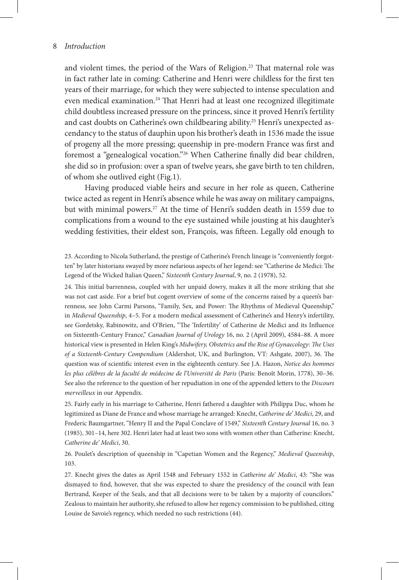#### 8 *Introduction*

and violent times, the period of the Wars of Religion.23 That maternal role was in fact rather late in coming: Catherine and Henri were childless for the first ten years of their marriage, for which they were subjected to intense speculation and even medical examination.<sup>24</sup> That Henri had at least one recognized illegitimate child doubtless increased pressure on the princess, since it proved Henri's fertility and cast doubts on Catherine's own childbearing ability.<sup>25</sup> Henri's unexpected ascendancy to the status of dauphin upon his brother's death in 1536 made the issue of progeny all the more pressing; queenship in pre-modern France was first and foremost a "genealogical vocation."26 When Catherine finally did bear children, she did so in profusion: over a span of twelve years, she gave birth to ten children, of whom she outlived eight (Fig.1).

Having produced viable heirs and secure in her role as queen, Catherine twice acted as regent in Henri's absence while he was away on military campaigns, but with minimal powers.<sup>27</sup> At the time of Henri's sudden death in 1559 due to complications from a wound to the eye sustained while jousting at his daughter's wedding festivities, their eldest son, François, was fifteen. Legally old enough to

23. According to Nicola Sutherland, the prestige of Catherine's French lineage is "conveniently forgotten" by later historians swayed by more nefarious aspects of her legend: see "Catherine de Medici: The Legend of the Wicked Italian Queen," *Sixteenth Century Journal*, 9, no. 2 (1978), 52.

24. This initial barrenness, coupled with her unpaid dowry, makes it all the more striking that she was not cast aside. For a brief but cogent overview of some of the concerns raised by a queen's barrenness, see John Carmi Parsons, "Family, Sex, and Power: The Rhythms of Medieval Queenship," in *Medieval Queenship*, 4–5. For a modern medical assessment of Catherine's and Henry's infertility, see Gordetsky, Rabinowitz, and O'Brien, "The 'Infertility' of Catherine de Medici and its Influence on Sixteenth-Century France," *Canadian Journal of Urology* 16, no. 2 (April 2009), 4584–88. A more historical view is presented in Helen King's *Midwifery, Obstetrics and the Rise of Gynaecology: The Uses of a Sixteenth-Century Compendium* (Aldershot, UK, and Burlington, VT: Ashgate, 2007), 36. The question was of scientific interest even in the eighteenth century. See J.A. Hazon, *Notice des hommes les plus célèbres de la faculté de médecine de l'Université de Paris* (Paris: Benoît Morin, 1778), 30–36. See also the reference to the question of her repudiation in one of the appended letters to the *Discours merveilleux* in our Appendix.

25. Fairly early in his marriage to Catherine, Henri fathered a daughter with Philippa Duc, whom he legitimized as Diane de France and whose marriage he arranged: Knecht, *Catherine de' Medici*, 29, and Frederic Baumgartner, "Henry II and the Papal Conclave of 1549," *Sixteenth Century Journal* 16, no. 3 (1985), 301–14, here 302. Henri later had at least two sons with women other than Catherine: Knecht, *Catherine de' Medici*, 30.

26. Poulet's description of queenship in "Capetian Women and the Regency," *Medieval Queenship*, 103.

27. Knecht gives the dates as April 1548 and February 1552 in *Catherine de' Medici*, 43: "She was dismayed to find, however, that she was expected to share the presidency of the council with Jean Bertrand, Keeper of the Seals, and that all decisions were to be taken by a majority of councilors." Zealous to maintain her authority, she refused to allow her regency commission to be published, citing Louise de Savoie's regency, which needed no such restrictions (44).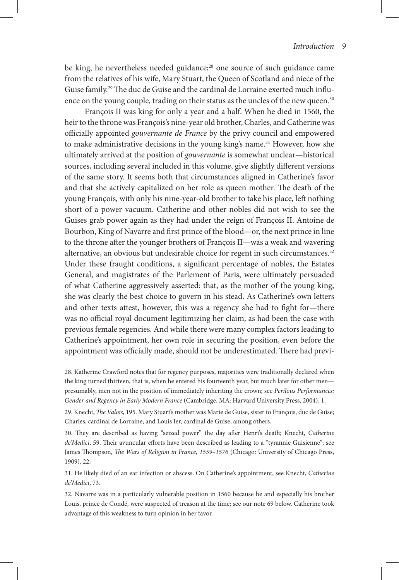be king, he nevertheless needed guidance;28 one source of such guidance came from the relatives of his wife, Mary Stuart, the Queen of Scotland and niece of the Guise family.29 The duc de Guise and the cardinal de Lorraine exerted much influence on the young couple, trading on their status as the uncles of the new queen.<sup>30</sup>

François II was king for only a year and a half. When he died in 1560, the heir to the throne was François's nine-year old brother, Charles, and Catherine was officially appointed *gouvernante de France* by the privy council and empowered to make administrative decisions in the young king's name.<sup>31</sup> However, how she ultimately arrived at the position of *gouvernante* is somewhat unclear—historical sources, including several included in this volume, give slightly different versions of the same story. It seems both that circumstances aligned in Catherine's favor and that she actively capitalized on her role as queen mother. The death of the young François, with only his nine-year-old brother to take his place, left nothing short of a power vacuum. Catherine and other nobles did not wish to see the Guises grab power again as they had under the reign of François II. Antoine de Bourbon, King of Navarre and first prince of the blood—or, the next prince in line to the throne after the younger brothers of François II—was a weak and wavering alternative, an obvious but undesirable choice for regent in such circumstances.<sup>32</sup> Under these fraught conditions, a significant percentage of nobles, the Estates General, and magistrates of the Parlement of Paris, were ultimately persuaded of what Catherine aggressively asserted: that, as the mother of the young king, she was clearly the best choice to govern in his stead. As Catherine's own letters and other texts attest, however, this was a regency she had to fight for—there was no official royal document legitimizing her claim, as had been the case with previous female regencies. And while there were many complex factors leading to Catherine's appointment, her own role in securing the position, even before the appointment was officially made, should not be underestimated. There had previ-

28. Katherine Crawford notes that for regency purposes, majorities were traditionally declared when the king turned thirteen, that is, when he entered his fourteenth year, but much later for other men presumably, men not in the position of immediately inheriting the crown; see *Perilous Performances: Gender and Regency in Early Modern France* (Cambridge, MA: Harvard University Press, 2004), 1.

29. Knecht, *The Valois*, 195. Mary Stuart's mother was Marie de Guise, sister to François, duc de Guise; Charles, cardinal de Lorraine; and Louis Ier, cardinal de Guise, among others.

30. They are described as having "seized power" the day after Henri's death; Knecht, *Catherine de'Medici*, 59. Their avuncular efforts have been described as leading to a "tyrannie Guisienne"; see James Thompson, *The Wars of Religion in France, 1559–1576* (Chicago: University of Chicago Press, 1909), 22.

31. He likely died of an ear infection or abscess. On Catherine's appointment, see Knecht, *Catherine de'Medici*, 73.

32. Navarre was in a particularly vulnerable position in 1560 because he and especially his brother Louis, prince de Condé, were suspected of treason at the time; see our note 69 below. Catherine took advantage of this weakness to turn opinion in her favor.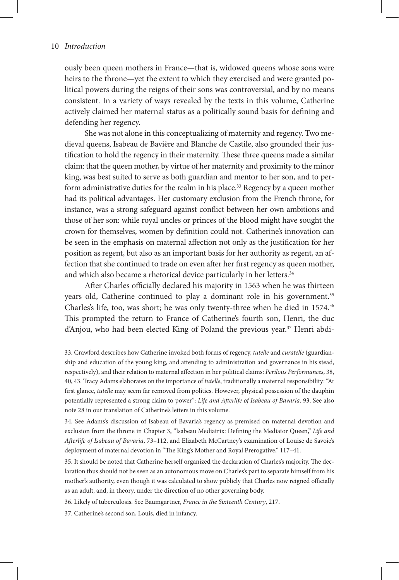ously been queen mothers in France—that is, widowed queens whose sons were heirs to the throne—yet the extent to which they exercised and were granted political powers during the reigns of their sons was controversial, and by no means consistent. In a variety of ways revealed by the texts in this volume, Catherine actively claimed her maternal status as a politically sound basis for defining and defending her regency.

She was not alone in this conceptualizing of maternity and regency. Two medieval queens, Isabeau de Bavière and Blanche de Castile, also grounded their justification to hold the regency in their maternity. These three queens made a similar claim: that the queen mother, by virtue of her maternity and proximity to the minor king, was best suited to serve as both guardian and mentor to her son, and to perform administrative duties for the realm in his place.<sup>33</sup> Regency by a queen mother had its political advantages. Her customary exclusion from the French throne, for instance, was a strong safeguard against conflict between her own ambitions and those of her son: while royal uncles or princes of the blood might have sought the crown for themselves, women by definition could not. Catherine's innovation can be seen in the emphasis on maternal affection not only as the justification for her position as regent, but also as an important basis for her authority as regent, an affection that she continued to trade on even after her first regency as queen mother, and which also became a rhetorical device particularly in her letters.<sup>34</sup>

After Charles officially declared his majority in 1563 when he was thirteen years old, Catherine continued to play a dominant role in his government.<sup>35</sup> Charles's life, too, was short; he was only twenty-three when he died in 1574.36 This prompted the return to France of Catherine's fourth son, Henri, the duc d'Anjou, who had been elected King of Poland the previous year.<sup>37</sup> Henri abdi-

33. Crawford describes how Catherine invoked both forms of regency, *tutelle* and *curatelle* (guardianship and education of the young king, and attending to administration and governance in his stead, respectively), and their relation to maternal affection in her political claims: *Perilous Performances*, 38, 40, 43. Tracy Adams elaborates on the importance of *tutelle*, traditionally a maternal responsibility: "At first glance, *tutelle* may seem far removed from politics. However, physical possession of the dauphin potentially represented a strong claim to power": *Life and Afterlife of Isabeau of Bavaria*, 93. See also note 28 in our translation of Catherine's letters in this volume.

34. See Adams's discussion of Isabeau of Bavaria's regency as premised on maternal devotion and exclusion from the throne in Chapter 3, "Isabeau Mediatrix: Defining the Mediator Queen," *Life and Afterlife of Isabeau of Bavaria*, 73–112, and Elizabeth McCartney's examination of Louise de Savoie's deployment of maternal devotion in "The King's Mother and Royal Prerogative," 117–41.

35. It should be noted that Catherine herself organized the declaration of Charles's majority. The declaration thus should not be seen as an autonomous move on Charles's part to separate himself from his mother's authority, even though it was calculated to show publicly that Charles now reigned officially as an adult, and, in theory, under the direction of no other governing body.

36. Likely of tuberculosis. See Baumgartner, *France in the Sixteenth Century*, 217.

37. Catherine's second son, Louis, died in infancy.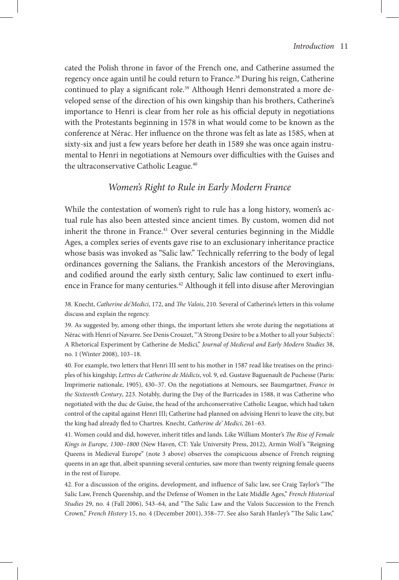cated the Polish throne in favor of the French one, and Catherine assumed the regency once again until he could return to France.<sup>38</sup> During his reign, Catherine continued to play a significant role.<sup>39</sup> Although Henri demonstrated a more developed sense of the direction of his own kingship than his brothers, Catherine's importance to Henri is clear from her role as his official deputy in negotiations with the Protestants beginning in 1578 in what would come to be known as the conference at Nérac. Her influence on the throne was felt as late as 1585, when at sixty-six and just a few years before her death in 1589 she was once again instrumental to Henri in negotiations at Nemours over difficulties with the Guises and the ultraconservative Catholic League.<sup>40</sup>

## *Women's Right to Rule in Early Modern France*

While the contestation of women's right to rule has a long history, women's actual rule has also been attested since ancient times. By custom, women did not inherit the throne in France.<sup>41</sup> Over several centuries beginning in the Middle Ages, a complex series of events gave rise to an exclusionary inheritance practice whose basis was invoked as "Salic law." Technically referring to the body of legal ordinances governing the Salians, the Frankish ancestors of the Merovingians, and codified around the early sixth century, Salic law continued to exert influence in France for many centuries.<sup>42</sup> Although it fell into disuse after Merovingian

38. Knecht, *Catherine de'Medici*, 172, and *The Valois*, 210. Several of Catherine's letters in this volume discuss and explain the regency.

39. As suggested by, among other things, the important letters she wrote during the negotiations at Nérac with Henri of Navarre. See Denis Crouzet, "'A Strong Desire to be a Mother to all your Subjects': A Rhetorical Experiment by Catherine de Medici," *Journal of Medieval and Early Modern Studies* 38, no. 1 (Winter 2008), 103–18.

40. For example, two letters that Henri III sent to his mother in 1587 read like treatises on the principles of his kingship; *Lettres de Catherine de Médicis*, vol. 9, ed. Gustave Baguenault de Puchesse (Paris: Imprimerie nationale, 1905), 430–37. On the negotiations at Nemours, see Baumgartner, *France in the Sixteenth Century*, 223. Notably, during the Day of the Barricades in 1588, it was Catherine who negotiated with the duc de Guise, the head of the archconservative Catholic League, which had taken control of the capital against Henri III; Catherine had planned on advising Henri to leave the city, but the king had already fled to Chartres. Knecht, *Catherine de' Medici*, 261–63.

41. Women could and did, however, inherit titles and lands. Like William Monter's *The Rise of Female Kings in Europe, 1300–1800* (New Haven, CT: Yale University Press, 2012), Armin Wolf 's "Reigning Queens in Medieval Europe" (note 3 above) observes the conspicuous absence of French reigning queens in an age that, albeit spanning several centuries, saw more than twenty reigning female queens in the rest of Europe.

42. For a discussion of the origins, development, and influence of Salic law, see Craig Taylor's "The Salic Law, French Queenship, and the Defense of Women in the Late Middle Ages," *French Historical Studies* 29, no. 4 (Fall 2006), 543–64, and "The Salic Law and the Valois Succession to the French Crown," *French History* 15, no. 4 (December 2001), 358–77. See also Sarah Hanley's "The Salic Law,"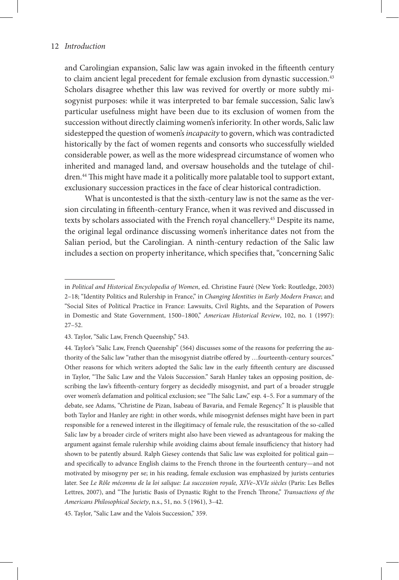and Carolingian expansion, Salic law was again invoked in the fifteenth century to claim ancient legal precedent for female exclusion from dynastic succession.<sup>43</sup> Scholars disagree whether this law was revived for overtly or more subtly misogynist purposes: while it was interpreted to bar female succession, Salic law's particular usefulness might have been due to its exclusion of women from the succession without directly claiming women's inferiority. In other words, Salic law sidestepped the question of women's *incapacity* to govern, which was contradicted historically by the fact of women regents and consorts who successfully wielded considerable power, as well as the more widespread circumstance of women who inherited and managed land, and oversaw households and the tutelage of children.44 This might have made it a politically more palatable tool to support extant, exclusionary succession practices in the face of clear historical contradiction.

What is uncontested is that the sixth-century law is not the same as the version circulating in fifteenth-century France, when it was revived and discussed in texts by scholars associated with the French royal chancellery.<sup>45</sup> Despite its name, the original legal ordinance discussing women's inheritance dates not from the Salian period, but the Carolingian. A ninth-century redaction of the Salic law includes a section on property inheritance, which specifies that, "concerning Salic

in *Political and Historical Encyclopedia of Women*, ed. Christine Fauré (New York: Routledge, 2003) 2–18; "Identity Politics and Rulership in France," in *Changing Identities in Early Modern France*; and "Social Sites of Political Practice in France: Lawsuits, Civil Rights, and the Separation of Powers in Domestic and State Government, 1500–1800," *American Historical Review*, 102, no. 1 (1997): 27–52.

<sup>43.</sup> Taylor, "Salic Law, French Queenship," 543.

<sup>44.</sup> Taylor's "Salic Law, French Queenship" (564) discusses some of the reasons for preferring the authority of the Salic law "rather than the misogynist diatribe offered by …fourteenth-century sources." Other reasons for which writers adopted the Salic law in the early fifteenth century are discussed in Taylor, "The Salic Law and the Valois Succession." Sarah Hanley takes an opposing position, describing the law's fifteenth-century forgery as decidedly misogynist, and part of a broader struggle over women's defamation and political exclusion; see "The Salic Law," esp. 4–5. For a summary of the debate, see Adams, "Christine de Pizan, Isabeau of Bavaria, and Female Regency." It is plausible that both Taylor and Hanley are right: in other words, while misogynist defenses might have been in part responsible for a renewed interest in the illegitimacy of female rule, the resuscitation of the so-called Salic law by a broader circle of writers might also have been viewed as advantageous for making the argument against female rulership while avoiding claims about female insufficiency that history had shown to be patently absurd. Ralph Giesey contends that Salic law was exploited for political gain and specifically to advance English claims to the French throne in the fourteenth century—and not motivated by misogyny per se; in his reading, female exclusion was emphasized by jurists centuries later. See *Le Rôle méconnu de la loi salique: La succession royale, XIVe–XVIe siècles* (Paris: Les Belles Lettres, 2007), and "The Juristic Basis of Dynastic Right to the French Throne," *Transactions of the Americans Philosophical Society*, n.s., 51, no. 5 (1961), 3–42.

<sup>45.</sup> Taylor, "Salic Law and the Valois Succession," 359.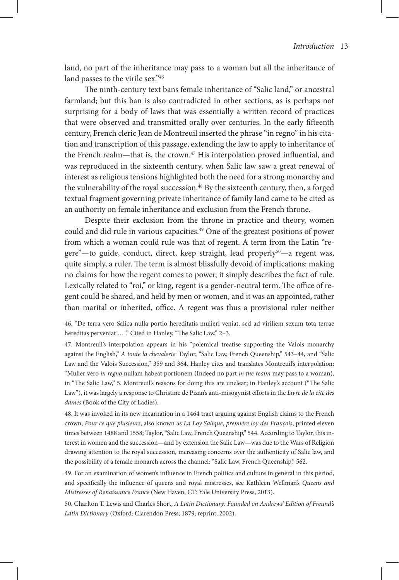land, no part of the inheritance may pass to a woman but all the inheritance of land passes to the virile sex."46

The ninth-century text bans female inheritance of "Salic land," or ancestral farmland; but this ban is also contradicted in other sections, as is perhaps not surprising for a body of laws that was essentially a written record of practices that were observed and transmitted orally over centuries. In the early fifteenth century, French cleric Jean de Montreuil inserted the phrase "in regno" in his citation and transcription of this passage, extending the law to apply to inheritance of the French realm—that is, the crown.<sup>47</sup> His interpolation proved influential, and was reproduced in the sixteenth century, when Salic law saw a great renewal of interest as religious tensions highlighted both the need for a strong monarchy and the vulnerability of the royal succession.<sup>48</sup> By the sixteenth century, then, a forged textual fragment governing private inheritance of family land came to be cited as an authority on female inheritance and exclusion from the French throne.

Despite their exclusion from the throne in practice and theory, women could and did rule in various capacities.49 One of the greatest positions of power from which a woman could rule was that of regent. A term from the Latin "regere"-to guide, conduct, direct, keep straight, lead properly<sup>50</sup>-a regent was, quite simply, a ruler. The term is almost blissfully devoid of implications: making no claims for how the regent comes to power, it simply describes the fact of rule. Lexically related to "roi," or king, regent is a gender-neutral term. The office of regent could be shared, and held by men or women, and it was an appointed, rather than marital or inherited, office. A regent was thus a provisional ruler neither

46. "De terra vero Salica nulla portio hereditatis mulieri veniat, sed ad viriliem sexum tota terrae hereditas perveniat ... ." Cited in Hanley, "The Salic Law," 2-3.

47. Montreuil's interpolation appears in his "polemical treatise supporting the Valois monarchy against the English," *A toute la chevalerie*: Taylor, "Salic Law, French Queenship," 543–44, and "Salic Law and the Valois Succession," 359 and 364. Hanley cites and translates Montreuil's interpolation: "Mulier vero *in regno* nullam habeat portionem (Indeed no part *in the realm* may pass to a woman), in "The Salic Law," 5. Montreuil's reasons for doing this are unclear; in Hanley's account ("The Salic Law"), it was largely a response to Christine de Pizan's anti-misogynist efforts in the *Livre de la cité des dames* (Book of the City of Ladies).

48. It was invoked in its new incarnation in a 1464 tract arguing against English claims to the French crown, *Pour ce que plusieurs*, also known as *La Loy Salique, première loy des François*, printed eleven times between 1488 and 1558; Taylor, "Salic Law, French Queenship," 544. According to Taylor, this interest in women and the succession—and by extension the Salic Law—was due to the Wars of Religion drawing attention to the royal succession, increasing concerns over the authenticity of Salic law, and the possibility of a female monarch across the channel: "Salic Law, French Queenship," 562.

49. For an examination of women's influence in French politics and culture in general in this period, and specifically the influence of queens and royal mistresses, see Kathleen Wellman's *Queens and Mistresses of Renaissance France* (New Haven, CT: Yale University Press, 2013).

50. Charlton T. Lewis and Charles Short, *A Latin Dictionary: Founded on Andrews' Edition of Freund's Latin Dictionary* (Oxford: Clarendon Press, 1879; reprint, 2002).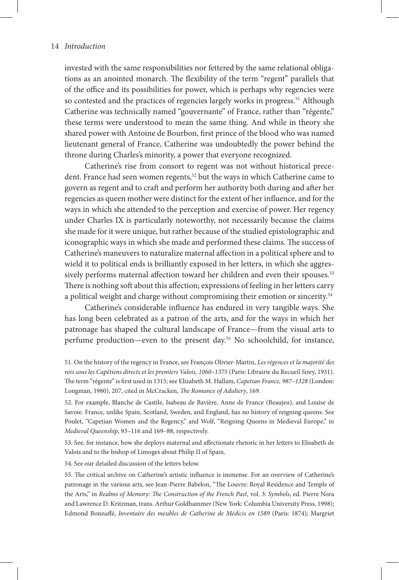invested with the same responsibilities nor fettered by the same relational obligations as an anointed monarch. The flexibility of the term "regent" parallels that of the office and its possibilities for power, which is perhaps why regencies were so contested and the practices of regencies largely works in progress.<sup>51</sup> Although Catherine was technically named "gouvernante" of France, rather than "régente," these terms were understood to mean the same thing. And while in theory she shared power with Antoine de Bourbon, first prince of the blood who was named lieutenant general of France, Catherine was undoubtedly the power behind the throne during Charles's minority, a power that everyone recognized.

Catherine's rise from consort to regent was not without historical precedent. France had seen women regents,<sup>52</sup> but the ways in which Catherine came to govern as regent and to craft and perform her authority both during and after her regencies as queen mother were distinct for the extent of her influence, and for the ways in which she attended to the perception and exercise of power. Her regency under Charles IX is particularly noteworthy, not necessarily because the claims she made for it were unique, but rather because of the studied epistolographic and iconographic ways in which she made and performed these claims. The success of Catherine's maneuvers to naturalize maternal affection in a political sphere and to wield it to political ends is brilliantly exposed in her letters, in which she aggressively performs maternal affection toward her children and even their spouses.<sup>53</sup> There is nothing soft about this affection; expressions of feeling in her letters carry a political weight and charge without compromising their emotion or sincerity.<sup>54</sup>

Catherine's considerable influence has endured in very tangible ways. She has long been celebrated as a patron of the arts, and for the ways in which her patronage has shaped the cultural landscape of France—from the visual arts to perfume production—even to the present day.55 No schoolchild, for instance,

51. On the history of the regency in France, see François Olivier-Martin, *Les régences et la majorité des rois sous les Capétiens directs et les premiers Valois, 1060–1375* (Paris: Librairie du Recueil Sirey, 1931). The term "régente" is first used in 1315; see Elizabeth M. Hallam, *Capetian France, 987–1328* (London: Longman, 1980), 207, cited in McCracken, *The Romance of Adultery*, 169.

52. For example, Blanche de Castile, Isabeau de Bavière, Anne de France (Beaujeu), and Louise de Savoie. France, unlike Spain, Scotland, Sweden, and England, has no history of reigning queens. See Poulet, "Capetian Women and the Regency," and Wolf, "Reigning Queens in Medieval Europe," in *Medieval Queenship*, 93–116 and 169–88, respectively.

53. See, for instance, how she deploys maternal and affectionate rhetoric in her letters to Elisabeth de Valois and to the bishop of Limoges about Philip II of Spain.

54. See our detailed discussion of the letters below.

55. The critical archive on Catherine's artistic influence is immense. For an overview of Catherine's patronage in the various arts, see Jean-Pierre Babelon, "The Louvre: Royal Residence and Temple of the Arts," in *Realms of Memory: The Construction of the French Past*, vol. 3: *Symbols*, ed. Pierre Nora and Lawrence D. Kritzman, trans. Arthur Goldhammer (New York: Columbia University Press, 1998); Edmond Bonnaffé, *Inventaire des meubles de Catherine de Médicis en 1589* (Paris: 1874); Margriet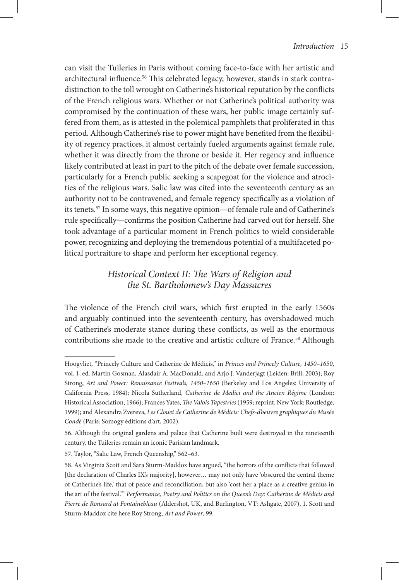can visit the Tuileries in Paris without coming face-to-face with her artistic and architectural influence.<sup>56</sup> This celebrated legacy, however, stands in stark contradistinction to the toll wrought on Catherine's historical reputation by the conflicts of the French religious wars. Whether or not Catherine's political authority was compromised by the continuation of these wars, her public image certainly suffered from them, as is attested in the polemical pamphlets that proliferated in this period. Although Catherine's rise to power might have benefited from the flexibility of regency practices, it almost certainly fueled arguments against female rule, whether it was directly from the throne or beside it. Her regency and influence likely contributed at least in part to the pitch of the debate over female succession, particularly for a French public seeking a scapegoat for the violence and atrocities of the religious wars. Salic law was cited into the seventeenth century as an authority not to be contravened, and female regency specifically as a violation of its tenets.57 In some ways, this negative opinion—of female rule and of Catherine's rule specifically—confirms the position Catherine had carved out for herself. She took advantage of a particular moment in French politics to wield considerable power, recognizing and deploying the tremendous potential of a multifaceted political portraiture to shape and perform her exceptional regency.

# *Historical Context II: The Wars of Religion and the St. Bartholomew's Day Massacres*

The violence of the French civil wars, which first erupted in the early 1560s and arguably continued into the seventeenth century, has overshadowed much of Catherine's moderate stance during these conflicts, as well as the enormous contributions she made to the creative and artistic culture of France.<sup>58</sup> Although

Hoogvliet, "Princely Culture and Catherine de Médicis," in *Princes and Princely Culture, 1450–1650*, vol. 1, ed. Martin Gosman, Alasdair A. MacDonald, and Arjo J. Vanderjagt (Leiden: Brill, 2003); Roy Strong, *Art and Power: Renaissance Festivals, 1450–1650* (Berkeley and Los Angeles: University of California Press, 1984); Nicola Sutherland, *Catherine de Medici and the Ancien Régime* (London: Historical Association, 1966); Frances Yates, *The Valois Tapestries* (1959; reprint, New York: Routledge, 1999); and Alexandra Zvereva, *Les Clouet de Catherine de Médicis: Chefs-d'oeuvre graphiques du Musée Condé* (Paris: Somogy éditions d'art, 2002).

<sup>56.</sup> Although the original gardens and palace that Catherine built were destroyed in the nineteenth century, the Tuileries remain an iconic Parisian landmark.

<sup>57.</sup> Taylor, "Salic Law, French Queenship," 562–63.

<sup>58.</sup> As Virginia Scott and Sara Sturm-Maddox have argued, "the horrors of the conflicts that followed [the declaration of Charles IX's majority], however... may not only have 'obscured the central theme of Catherine's life,' that of peace and reconciliation, but also 'cost her a place as a creative genius in the art of the festival.'" *Performance, Poetry and Politics on the Queen's Day: Catherine de Médicis and Pierre de Ronsard at Fontainebleau* (Aldershot, UK, and Burlington, VT: Ashgate, 2007), 1. Scott and Sturm-Maddox cite here Roy Strong, *Art and Power*, 99.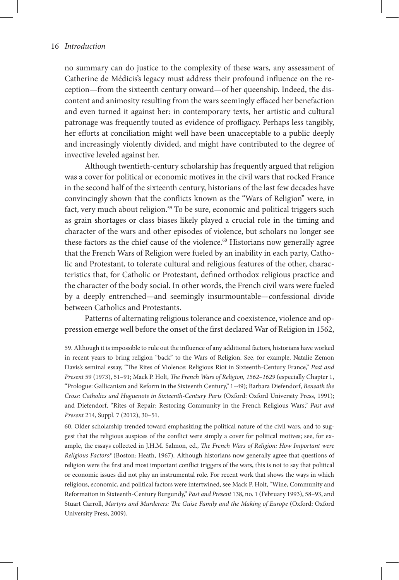no summary can do justice to the complexity of these wars, any assessment of Catherine de Médicis's legacy must address their profound influence on the reception—from the sixteenth century onward—of her queenship. Indeed, the discontent and animosity resulting from the wars seemingly effaced her benefaction and even turned it against her: in contemporary texts, her artistic and cultural patronage was frequently touted as evidence of profligacy. Perhaps less tangibly, her efforts at conciliation might well have been unacceptable to a public deeply and increasingly violently divided, and might have contributed to the degree of invective leveled against her.

Although twentieth-century scholarship has frequently argued that religion was a cover for political or economic motives in the civil wars that rocked France in the second half of the sixteenth century, historians of the last few decades have convincingly shown that the conflicts known as the "Wars of Religion" were, in fact, very much about religion.<sup>59</sup> To be sure, economic and political triggers such as grain shortages or class biases likely played a crucial role in the timing and character of the wars and other episodes of violence, but scholars no longer see these factors as the chief cause of the violence.<sup>60</sup> Historians now generally agree that the French Wars of Religion were fueled by an inability in each party, Catholic and Protestant, to tolerate cultural and religious features of the other, characteristics that, for Catholic or Protestant, defined orthodox religious practice and the character of the body social. In other words, the French civil wars were fueled by a deeply entrenched—and seemingly insurmountable—confessional divide between Catholics and Protestants.

Patterns of alternating religious tolerance and coexistence, violence and oppression emerge well before the onset of the first declared War of Religion in 1562,

59. Although it is impossible to rule out the influence of any additional factors, historians have worked in recent years to bring religion "back" to the Wars of Religion. See, for example, Natalie Zemon Davis's seminal essay, "The Rites of Violence: Religious Riot in Sixteenth-Century France," *Past and Present* 59 (1973), 51–91; Mack P. Holt, *The French Wars of Religion, 1562–1629* (especially Chapter 1, "Prologue: Gallicanism and Reform in the Sixteenth Century," 1–49); Barbara Diefendorf, *Beneath the Cross: Catholics and Huguenots in Sixteenth-Century Paris* (Oxford: Oxford University Press, 1991); and Diefendorf, "Rites of Repair: Restoring Community in the French Religious Wars," *Past and Present* 214, Suppl. 7 (2012), 30–51.

60. Older scholarship trended toward emphasizing the political nature of the civil wars, and to suggest that the religious auspices of the conflict were simply a cover for political motives; see, for example, the essays collected in J.H.M. Salmon, ed., *The French Wars of Religion: How Important were Religious Factors?* (Boston: Heath, 1967). Although historians now generally agree that questions of religion were the first and most important conflict triggers of the wars, this is not to say that political or economic issues did not play an instrumental role. For recent work that shows the ways in which religious, economic, and political factors were intertwined, see Mack P. Holt, "Wine, Community and Reformation in Sixteenth-Century Burgundy," *Past and Present* 138, no. 1 (February 1993), 58–93, and Stuart Carroll, *Martyrs and Murderers: The Guise Family and the Making of Europe* (Oxford: Oxford University Press, 2009).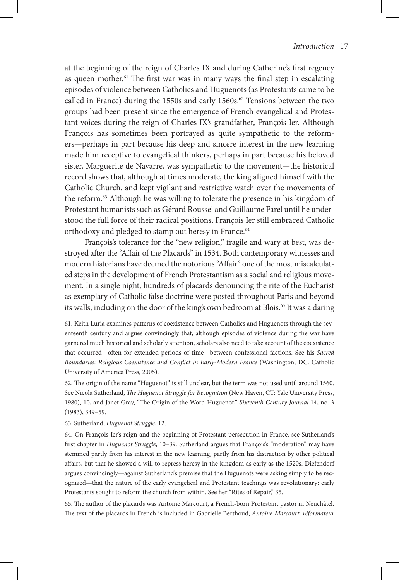at the beginning of the reign of Charles IX and during Catherine's first regency as queen mother.<sup>61</sup> The first war was in many ways the final step in escalating episodes of violence between Catholics and Huguenots (as Protestants came to be called in France) during the 1550s and early 1560s. $62$  Tensions between the two groups had been present since the emergence of French evangelical and Protestant voices during the reign of Charles IX's grandfather, François Ier. Although François has sometimes been portrayed as quite sympathetic to the reformers—perhaps in part because his deep and sincere interest in the new learning made him receptive to evangelical thinkers, perhaps in part because his beloved sister, Marguerite de Navarre, was sympathetic to the movement—the historical record shows that, although at times moderate, the king aligned himself with the Catholic Church, and kept vigilant and restrictive watch over the movements of the reform.<sup>63</sup> Although he was willing to tolerate the presence in his kingdom of Protestant humanists such as Gérard Roussel and Guillaume Farel until he understood the full force of their radical positions, François Ier still embraced Catholic orthodoxy and pledged to stamp out heresy in France.<sup>64</sup>

François's tolerance for the "new religion," fragile and wary at best, was destroyed after the "Affair of the Placards" in 1534. Both contemporary witnesses and modern historians have deemed the notorious "Affair" one of the most miscalculated steps in the development of French Protestantism as a social and religious movement. In a single night, hundreds of placards denouncing the rite of the Eucharist as exemplary of Catholic false doctrine were posted throughout Paris and beyond its walls, including on the door of the king's own bedroom at Blois.<sup>65</sup> It was a daring

61. Keith Luria examines patterns of coexistence between Catholics and Huguenots through the seventeenth century and argues convincingly that, although episodes of violence during the war have garnered much historical and scholarly attention, scholars also need to take account of the coexistence that occurred—often for extended periods of time—between confessional factions. See his *Sacred Boundaries: Religious Coexistence and Conflict in Early-Modern France* (Washington, DC: Catholic University of America Press, 2005).

62. The origin of the name "Huguenot" is still unclear, but the term was not used until around 1560. See Nicola Sutherland, *The Huguenot Struggle for Recognition* (New Haven, CT: Yale University Press, 1980), 10, and Janet Gray, "The Origin of the Word Huguenot," *Sixteenth Century Journal* 14, no. 3 (1983), 349–59.

63. Sutherland, *Huguenot Struggle*, 12.

64. On François Ier's reign and the beginning of Protestant persecution in France, see Sutherland's first chapter in *Huguenot Struggle*, 10–39. Sutherland argues that François's "moderation" may have stemmed partly from his interest in the new learning, partly from his distraction by other political affairs, but that he showed a will to repress heresy in the kingdom as early as the 1520s. Diefendorf argues convincingly—against Sutherland's premise that the Huguenots were asking simply to be recognized—that the nature of the early evangelical and Protestant teachings was revolutionary: early Protestants sought to reform the church from within. See her "Rites of Repair," 35.

65. The author of the placards was Antoine Marcourt, a French-born Protestant pastor in Neuchâtel. The text of the placards in French is included in Gabrielle Berthoud, *Antoine Marcourt, réformateur*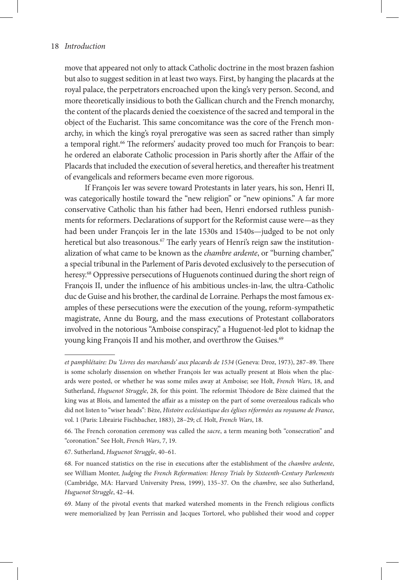move that appeared not only to attack Catholic doctrine in the most brazen fashion but also to suggest sedition in at least two ways. First, by hanging the placards at the royal palace, the perpetrators encroached upon the king's very person. Second, and more theoretically insidious to both the Gallican church and the French monarchy, the content of the placards denied the coexistence of the sacred and temporal in the object of the Eucharist. This same concomitance was the core of the French monarchy, in which the king's royal prerogative was seen as sacred rather than simply a temporal right.<sup>66</sup> The reformers' audacity proved too much for François to bear: he ordered an elaborate Catholic procession in Paris shortly after the Affair of the Placards that included the execution of several heretics, and thereafter his treatment of evangelicals and reformers became even more rigorous.

If François Ier was severe toward Protestants in later years, his son, Henri II, was categorically hostile toward the "new religion" or "new opinions." A far more conservative Catholic than his father had been, Henri endorsed ruthless punishments for reformers. Declarations of support for the Reformist cause were—as they had been under François Ier in the late 1530s and 1540s—judged to be not only heretical but also treasonous.<sup>67</sup> The early years of Henri's reign saw the institutionalization of what came to be known as the *chambre ardente*, or "burning chamber," a special tribunal in the Parlement of Paris devoted exclusively to the persecution of heresy.<sup>68</sup> Oppressive persecutions of Huguenots continued during the short reign of François II, under the influence of his ambitious uncles-in-law, the ultra-Catholic duc de Guise and his brother, the cardinal de Lorraine. Perhaps the most famous examples of these persecutions were the execution of the young, reform-sympathetic magistrate, Anne du Bourg, and the mass executions of Protestant collaborators involved in the notorious "Amboise conspiracy," a Huguenot-led plot to kidnap the young king François II and his mother, and overthrow the Guises.<sup>69</sup>

*et pamphlétaire: Du 'Livres des marchands' aux placards de 1534* (Geneva: Droz, 1973), 287–89. There is some scholarly dissension on whether François Ier was actually present at Blois when the placards were posted, or whether he was some miles away at Amboise; see Holt, *French Wars*, 18, and Sutherland, *Huguenot Struggle*, 28, for this point. The reformist Théodore de Bèze claimed that the king was at Blois, and lamented the affair as a misstep on the part of some overzealous radicals who did not listen to "wiser heads": Bèze, *Histoire ecclésiastique des églises réformées au royaume de France*, vol. 1 (Paris: Librairie Fischbacher, 1883), 28–29; cf. Holt, *French Wars*, 18.

<sup>66.</sup> The French coronation ceremony was called the *sacre*, a term meaning both "consecration" and "coronation." See Holt, *French Wars*, 7, 19.

<sup>67.</sup> Sutherland, *Huguenot Struggle*, 40–61.

<sup>68.</sup> For nuanced statistics on the rise in executions after the establishment of the *chambre ardente*, see William Monter, *Judging the French Reformation: Heresy Trials by Sixteenth-Century Parlements*  (Cambridge, MA: Harvard University Press, 1999), 135–37. On the *chambre*, see also Sutherland, *Huguenot Struggle*, 42–44.

<sup>69.</sup> Many of the pivotal events that marked watershed moments in the French religious conflicts were memorialized by Jean Perrissin and Jacques Tortorel, who published their wood and copper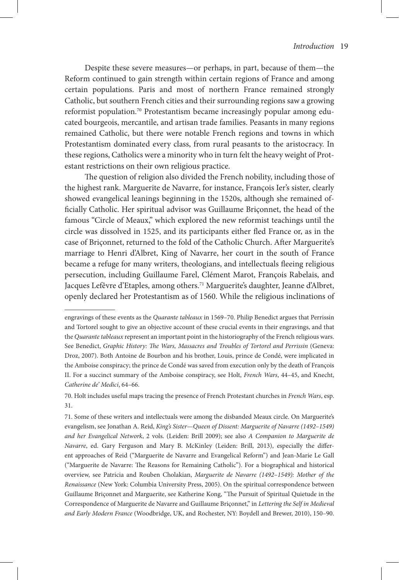Despite these severe measures—or perhaps, in part, because of them—the Reform continued to gain strength within certain regions of France and among certain populations. Paris and most of northern France remained strongly Catholic, but southern French cities and their surrounding regions saw a growing reformist population.70 Protestantism became increasingly popular among educated bourgeois, mercantile, and artisan trade families. Peasants in many regions remained Catholic, but there were notable French regions and towns in which Protestantism dominated every class, from rural peasants to the aristocracy. In these regions, Catholics were a minority who in turn felt the heavy weight of Protestant restrictions on their own religious practice.

The question of religion also divided the French nobility, including those of the highest rank. Marguerite de Navarre, for instance, François Ier's sister, clearly showed evangelical leanings beginning in the 1520s, although she remained officially Catholic. Her spiritual advisor was Guillaume Briçonnet, the head of the famous "Circle of Meaux," which explored the new reformist teachings until the circle was dissolved in 1525, and its participants either fled France or, as in the case of Briçonnet, returned to the fold of the Catholic Church. After Marguerite's marriage to Henri d'Albret, King of Navarre, her court in the south of France became a refuge for many writers, theologians, and intellectuals fleeing religious persecution, including Guillaume Farel, Clément Marot, François Rabelais, and Jacques Lefêvre d'Etaples, among others.<sup>71</sup> Marguerite's daughter, Jeanne d'Albret, openly declared her Protestantism as of 1560. While the religious inclinations of

engravings of these events as the *Quarante tableaux* in 1569–70. Philip Benedict argues that Perrissin and Tortorel sought to give an objective account of these crucial events in their engravings, and that the *Quarante tableaux* represent an important point in the historiography of the French religious wars. See Benedict, *Graphic History: The Wars, Massacres and Troubles of Tortorel and Perrissin* (Geneva: Droz, 2007). Both Antoine de Bourbon and his brother, Louis, prince de Condé, were implicated in the Amboise conspiracy; the prince de Condé was saved from execution only by the death of François II. For a succinct summary of the Amboise conspiracy, see Holt, *French Wars*, 44–45, and Knecht, *Catherine de' Medici*, 64–66.

<sup>70.</sup> Holt includes useful maps tracing the presence of French Protestant churches in *French Wars*, esp. 31.

<sup>71.</sup> Some of these writers and intellectuals were among the disbanded Meaux circle. On Marguerite's evangelism, see Jonathan A. Reid, *King's Sister—Queen of Dissent: Marguerite of Navarre (1492–1549) and her Evangelical Network*, 2 vols. (Leiden: Brill 2009); see also *A Companion to Marguerite de Navarre*, ed. Gary Ferguson and Mary B. McKinley (Leiden: Brill, 2013), especially the different approaches of Reid ("Marguerite de Navarre and Evangelical Reform") and Jean-Marie Le Gall ("Marguerite de Navarre: The Reasons for Remaining Catholic"). For a biographical and historical overview, see Patricia and Rouben Cholakian, *Marguerite de Navarre (1492–1549): Mother of the Renaissance* (New York: Columbia University Press, 2005). On the spiritual correspondence between Guillaume Briçonnet and Marguerite, see Katherine Kong, "The Pursuit of Spiritual Quietude in the Correspondence of Marguerite de Navarre and Guillaume Briçonnet," in *Lettering the Self in Medieval and Early Modern France* (Woodbridge, UK, and Rochester, NY: Boydell and Brewer, 2010), 150–90.